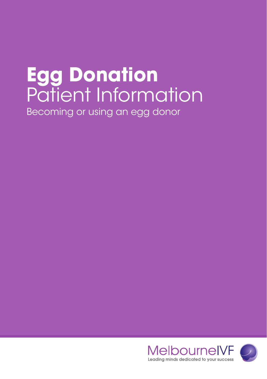# **Egg Donation** Patient Information Becoming or using an egg donor

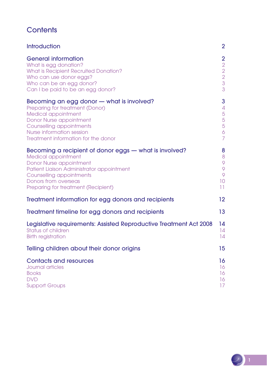## **Contents**

| <b>Introduction</b>                                                | 2                 |
|--------------------------------------------------------------------|-------------------|
| <b>General information</b>                                         | 2                 |
| What is egg donation?                                              | $\overline{2}$    |
| What is Recipient Recruited Donation?                              | $\overline{2}$    |
| Who can use donor eggs?                                            | $\overline{2}$    |
| Who can be an egg donor?                                           | $\overline{3}$    |
| Can I be paid to be an egg donor?                                  | 3                 |
| Becoming an egg donor - what is involved?                          | 3                 |
| Preparing for treatment (Donor)                                    | $\overline{4}$    |
| Medical appointment                                                | 5                 |
| Donor Nurse appointment                                            | $\overline{5}$    |
| Counselling appointments                                           | 5                 |
| Nurse information session                                          | $\ddot{\circ}$    |
| Treatment information for the donor                                | $\overline{7}$    |
| Becoming a recipient of donor eggs — what is involved?             | 8                 |
| Medical appointment                                                | 8                 |
| Donor Nurse appointment                                            | 9                 |
| Patient Liaison Administrator appointment                          | 9                 |
| Counselling appointments                                           | 9                 |
| <b>Donors from overseas</b>                                        | 10                |
| Preparing for treatment (Recipient)                                | 11                |
| Treatment information for egg donors and recipients                | $12 \overline{ }$ |
| Treatment timeline for egg donors and recipients                   | 13                |
| Legislative requirements: Assisted Reproductive Treatment Act 2008 | 14                |
| Status of children                                                 | 14                |
| <b>Birth registration</b>                                          | 14                |
| Telling children about their donor origins                         | 15                |
| <b>Contacts and resources</b>                                      | 16                |
| <b>Journal articles</b>                                            | 16                |
| <b>Books</b>                                                       | 16                |
| <b>DVD</b>                                                         | 16                |
| <b>Support Groups</b>                                              | 17                |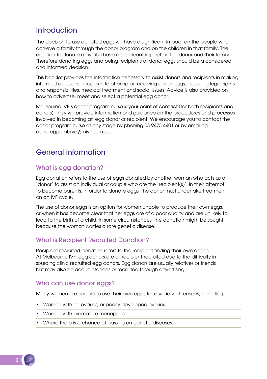## **Introduction**

The decision to use donated eggs will have a significant impact on the people who achieve a family through the donor program and on the children in that family. The decision to donate may also have a significant impact on the donor and their family. Therefore donating eggs and being recipients of donor eggs should be a considered and informed decision.

This booklet provides the information necessary to assist donors and recipients in making informed decisions in regards to offering or receiving donor eggs, including legal rights and responsibilities, medical treatment and social issues. Advice is also provided on how to advertise, meet and select a potential egg donor.

Melbourne IVF's donor program nurse is your point of contact (for both recipients and donors); they will provide information and guidance on the procedures and processes involved in becoming an egg donor or recipient. We encourage you to contact the donor program nurse at any stage by phoning 03 9473 4401 or by emailing donoreggembryo@mivf.com.au.

## General information

## What is egg donation?

Egg donation refers to the use of eggs donated by another woman who acts as a 'donor' to assist an individual or couple who are the 'recipient(s)', in their attempt to become parents. In order to donate eggs, the donor must undertake treatment on an IVF cycle.

The use of donor eggs is an option for women unable to produce their own eggs, or when it has become clear that her eggs are of a poor quality and are unlikely to lead to the birth of a child. In some circumstances, the donation might be sought because the woman carries a rare genetic disease.

## What is Recipient Recruited Donation?

Recipient recruited donation refers to the recipient finding their own donor. At Melbourne IVF, egg donors are all recipient-recruited due to the difficulty in sourcing clinic recruited egg donors. Egg donors are usually relatives or friends but may also be acquaintances or recruited through advertising.

## Who can use donor eggs?

Many women are unable to use their own eggs for a variety of reasons, including:

- Women with no ovaries, or poorly developed ovaries.
- Women with premature menopause.
- Where there is a chance of passing on genetic diseases.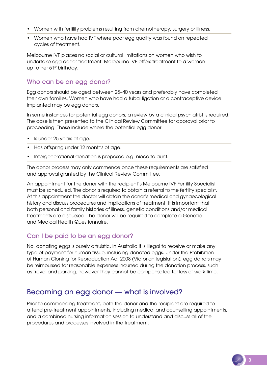- Women with fertility problems resulting from chemotherapy, surgery or illness.
- Women who have had IVF where poor egg quality was found on repeated cycles of treatment.

Melbourne IVF places no social or cultural limitations on women who wish to undertake egg donor treatment. Melbourne IVF offers treatment to a woman up to her 51st birthday.

## Who can be an egg donor?

Egg donors should be aged between 25–40 years and preferably have completed their own families. Women who have had a tubal ligation or a contraceptive device implanted may be egg donors.

In some instances for potential egg donors, a review by a clinical psychiatrist is required. The case is then presented to the Clinical Review Committee for approval prior to proceeding. These include where the potential egg donor:

- Is under 25 years of age.
- Has offspring under 12 months of age.
- Intergenerational donation is proposed e.g. niece to aunt.

The donor process may only commence once these requirements are satisfied and approval granted by the Clinical Review Committee.

An appointment for the donor with the recipient's Melbourne IVF Fertility Specialist must be scheduled. The donor is required to obtain a referral to the fertility specialist. At this appointment the doctor will obtain the donor's medical and gynaecological history and discuss procedures and implications of treatment. It is important that both personal and family histories of illness, genetic conditions and/or medical treatments are discussed. The donor will be required to complete a Genetic and Medical Health Questionnaire.

## Can I be paid to be an egg donor?

No, donating eggs is purely altruistic. In Australia it is illegal to receive or make any type of payment for human tissue, including donated eggs. Under the Prohibition of Human Cloning for Reproduction Act 2008 (Victorian legislation), egg donors may be reimbursed for reasonable expenses incurred during the donation process, such as travel and parking, however they cannot be compensated for loss of work time.

## Becoming an egg donor — what is involved?

Prior to commencing treatment, both the donor and the recipient are required to attend pre-treatment appointments, including medical and counselling appointments, and a combined nursing information session to understand and discuss all of the procedures and processes involved in the treatment.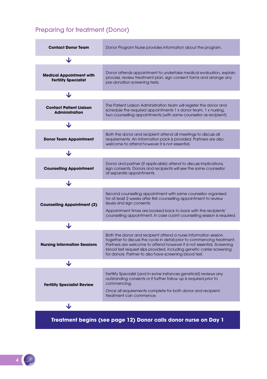## Preparing for treatment (Donor)

| <b>Contact Donor Team</b>                                      | Donor Program Nurse provides information about the program.                                                                                                                                                                                                                                                                                            |  |  |
|----------------------------------------------------------------|--------------------------------------------------------------------------------------------------------------------------------------------------------------------------------------------------------------------------------------------------------------------------------------------------------------------------------------------------------|--|--|
| ◡                                                              |                                                                                                                                                                                                                                                                                                                                                        |  |  |
| <b>Medical Appointment with</b><br><b>Fertility Specialist</b> | Donor attends appointment to undertake medical evaluation, explain<br>process, review treatment plan, sign consent forms and arrange any<br>pre-donation screening tests.                                                                                                                                                                              |  |  |
| J                                                              |                                                                                                                                                                                                                                                                                                                                                        |  |  |
| <b>Contact Patient Liaison</b><br><b>Administration</b>        | The Patient Liaison Administration team will register the donor and<br>schedule the required appointments 1 x donor team, 1 x nursing,<br>two counselling appointments (with same counsellor as recipient).                                                                                                                                            |  |  |
| ◡                                                              |                                                                                                                                                                                                                                                                                                                                                        |  |  |
| <b>Donor Team Appointment</b>                                  | Both the donor and recipient attend all meetings to discuss all<br>requirements. An information pack is provided. Partners are also<br>welcome to attend however it is not essential.                                                                                                                                                                  |  |  |
| ◡                                                              |                                                                                                                                                                                                                                                                                                                                                        |  |  |
| <b>Counselling Appointment</b>                                 | Donor and partner (if applicable) attend to discuss implications,<br>sign consents. Donors and recipients will see the same counsellor<br>at separate appointments.                                                                                                                                                                                    |  |  |
| ◡                                                              |                                                                                                                                                                                                                                                                                                                                                        |  |  |
| <b>Counselling Appointment (2)</b>                             | Second counselling appointment with same counsellor organised<br>for at least 2 weeks after first counselling appointment to review<br>issues and sign consents.<br>Appointment times are booked back to back with the recipients'<br>counselling appointment, in case a joint counselling session is required.                                        |  |  |
| ◡                                                              |                                                                                                                                                                                                                                                                                                                                                        |  |  |
| <b>Nursing Information Sessions</b>                            | Both the donor and recipient attend a nurse information session<br>together to discuss the cycle in detail prior to commencing treatment.<br>Partners are welcome to attend however it is not essential. Screening<br>blood test request slips provided, including genetic carrier screening<br>for donors. Partner to also have screening blood test. |  |  |
| ◡                                                              |                                                                                                                                                                                                                                                                                                                                                        |  |  |
| <b>Fertility Specialist Review</b>                             | Fertility Specialist (and in some instances geneticist) reviews any<br>outstanding consents or if further follow up is required prior to<br>commencing.<br>Once all requirements complete for both donor and recipient,<br>treatment can commence.                                                                                                     |  |  |
| ◡                                                              |                                                                                                                                                                                                                                                                                                                                                        |  |  |

**Treatment begins (see page 12) Donor calls donor nurse on Day 1**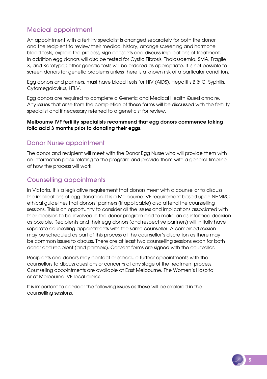## Medical appointment

An appointment with a fertility specialist is arranged separately for both the donor and the recipient to review their medical history, arrange screening and hormone blood tests, explain the process, sign consents and discuss implications of treatment. In addition egg donors will also be tested for Cystic Fibrosis, Thalassaemia, SMA, Fragile X, and Karotype;; other genetic tests will be ordered as appropriate. It is not possible to screen donors for genetic problems unless there is a known risk of a particular condition.

Egg donors and partners, must have blood tests for HIV (AIDS), Hepatitis B & C, Syphilis, Cytomegalovirus, HTLV.

Egg donors are required to complete a Genetic and Medical Health Questionnaire. Any issues that arise from the completion of these forms will be discussed with the fertility specialist and if necessary referred to a geneticist for review.

#### Melbourne IVF fertility specialists recommend that egg donors commence taking folic acid 3 months prior to donating their eggs.

## Donor Nurse appointment

The donor and recipient will meet with the Donor Egg Nurse who will provide them with an information pack relating to the program and provide them with a general timeline of how the process will work.

## Counselling appointments

In Victoria, it is a legislative requirement that donors meet with a counsellor to discuss the implications of egg donation. It is a Melbourne IVF requirement based upon NHMRC ethical guidelines that donors' partners (if applicable) also attend the counselling sessions. This is an opportunity to consider all the issues and implications associated with their decision to be involved in the donor program and to make an as informed decision as possible. Recipients and their egg donors (and respective partners) will initially have separate counselling appointments with the same counsellor. A combined session may be scheduled as part of this process at the counsellor's discretion as there may be common issues to discuss. There are at least two counselling sessions each for both donor and recipient (and partners). Consent forms are signed with the counsellor.

Recipients and donors may contact or schedule further appointments with the counsellors to discuss questions or concerns at any stage of the treatment process. Counselling appointments are available at East Melbourne, The Women's Hospital or at Melbourne IVF local clinics.

It is important to consider the following issues as these will be explored in the counselling sessions.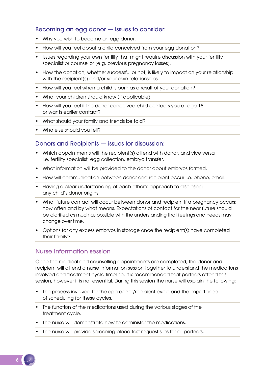#### Becoming an egg donor — issues to consider:

- Why you wish to become an egg donor.
- How will you feel about a child conceived from your egg donation?
- Issues regarding your own fertility that might require discussion with your fertility specialist or counsellor (e.g. previous pregnancy losses).
- How the donation, whether successful or not, is likely to impact on your relationship with the recipient(s) and/or your own relationships.
- How will you feel when a child is born as a result of your donation?
- What your children should know (if applicable).
- How will you feel if the donor conceived child contacts you at age 18 or wants earlier contact?
- What should your family and friends be told?
- Who else should you tell?

#### Donors and Recipients — issues for discussion:

- Which appointments will the recipient(s) attend with donor, and vice versa i.e. fertility specialist, egg collection, embryo transfer.
- What information will be provided to the donor about embryos formed.
- How will communication between donor and recipient occur i.e. phone, email.
- Having a clear understanding of each other's approach to disclosing any child's donor origins.
- What future contact will occur between donor and recipient if a pregnancy occurs: how often and by what means. Expectations of contact for the near future should be clarified as much as possible with the understanding that feelings and needs may change over time.
- Options for any excess embryos in storage once the recipient(s) have completed their family?

#### Nurse information session

Once the medical and counselling appointments are completed, the donor and recipient will attend a nurse information session together to understand the medications involved and treatment cycle timeline. It is recommended that partners attend this session, however it is not essential. During this session the nurse will explain the following:

- The process involved for the egg donor/recipient cycle and the importance of scheduling for these cycles.
- The function of the medications used during the various stages of the treatment cycle.
- The nurse will demonstrate how to administer the medications.
- The nurse will provide screening blood test request slips for all partners.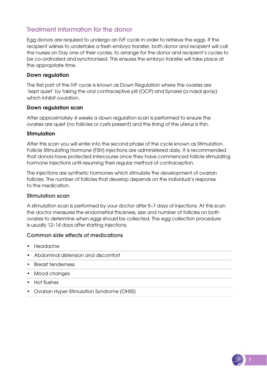## Treatment information for the donor

Egg donors are required to undergo an IVF cycle in order to retrieve the eggs. If the recipient wishes to undertake a fresh embryo transfer, both donor and recipient will call the nurses on Day one of their cycles, to arrange for the donor and recipient's cycles to be co-ordinated and synchronised. This ensures the embryo transfer will take place at the appropriate time.

#### Down regulation

The first part of the IVF cycle is known as Down Regulation where the ovaries are 'kept quiet' by taking the oral contraceptive pill (OCP) and Synarel (a nasal spray) which inhibit ovulation.

#### Down regulation scan

After approximately 4 weeks a down regulation scan is performed to ensure the ovaries are quiet (no follicles or cysts present) and the lining of the uterus is thin.

#### Stimulation

After this scan you will enter into the second phase of the cycle known as Stimulation. Follicle Stimulating Hormone (FSH) injections are administered daily. It is recommended that donors have protected intercourse once they have commenced follicle stimulating hormone injections until resuming their regular method of contraception.

The injections are synthetic hormones which stimulate the development of ovarian follicles. The number of follicles that develop depends on the individual's response to the medication.

#### Stimulation scan

A stimulation scan is performed by your doctor after 5–7 days of injections. At this scan the doctor measures the endometrial thickness, size and number of follicles on both ovaries to determine when eggs should be collected. The egg collection procedure is usually 12–14 days after starting injections.

#### Common side effects of medications

- Headache
- Abdominal distension and discomfort
- Breast tenderness
- Mood changes
- Hot flushes
- Ovarian Hyper Stimulation Syndrome (OHSS)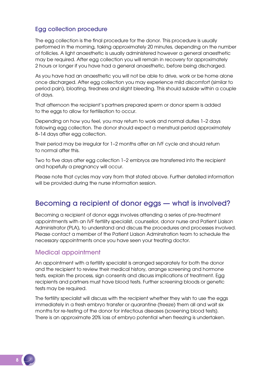#### Egg collection procedure

The egg collection is the final procedure for the donor. This procedure is usually performed in the morning, taking approximately 20 minutes, depending on the number of follicles. A light anaesthetic is usually administered however a general anaesthetic may be required. After egg collection you will remain in recovery for approximately 2 hours or longer if you have had a general anaesthetic, before being discharged.

As you have had an anaesthetic you will not be able to drive, work or be home alone once discharged. After egg collection you may experience mild discomfort (similar to period pain), bloating, tiredness and slight bleeding. This should subside within a couple of days.

That afternoon the recipient's partners prepared sperm or donor sperm is added to the eggs to allow for fertilisation to occur.

Depending on how you feel, you may return to work and normal duties 1–2 days following egg collection. The donor should expect a menstrual period approximately 8–14 days after egg collection.

Their period may be irregular for 1–2 months after an IVF cycle and should return to normal after this.

Two to five days after egg collection 1–2 embryos are transferred into the recipient and hopefully a pregnancy will occur.

Please note that cycles may vary from that stated above. Further detailed information will be provided during the nurse information session.

## Becoming a recipient of donor eggs — what is involved?

Becoming a recipient of donor eggs involves attending a series of pre-treatment appointments with an IVF fertility specialist, counsellor, donor nurse and Patient Liaison Administrator (PLA), to understand and discuss the procedures and processes involved. Please contact a member of the Patient Liaison Adminstration team to schedule the necessary appointments once you have seen your treating doctor.

#### Medical appointment

An appointment with a fertility specialist is arranged separately for both the donor and the recipient to review their medical history, arrange screening and hormone tests, explain the process, sign consents and discuss implications of treatment. Egg recipients and partners must have blood tests. Further screening bloods or genetic tests may be required.

The fertility specialist will discuss with the recipient whether they wish to use the eggs immediately in a fresh embryo transfer or quarantine (freeze) them all and wait six months for re-testing of the donor for infectious diseases (screening blood tests). There is an approximate 20% loss of embryo potential when freezing is undertaken.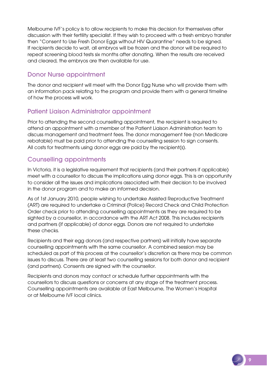Melbourne IVF's policy is to allow recipients to make this decision for themselves after discussion with their fertility specialist. If they wish to proceed with a fresh embryo transfer then "Consent to Use Fresh Donor Eggs without HIV Quarantine" needs to be signed. If recipients decide to wait, all embryos will be frozen and the donor will be required to repeat screening blood tests six months after donating. When the results are received and cleared, the embryos are then available for use.

## Donor Nurse appointment

The donor and recipient will meet with the Donor Egg Nurse who will provide them with an information pack relating to the program and provide them with a general timeline of how the process will work.

## Patient Liaison Administrator appointment

Prior to attending the second counselling appointment, the recipient is required to attend an appointment with a member of the Patient Liaison Administration team to discuss management and treatment fees. The donor management fee (non Medicare rebatable) must be paid prior to attending the counselling session to sign consents. All costs for treatments using donor eggs are paid by the recipient(s).

## Counselling appointments

In Victoria, it is a legislative requirement that recipients (and their partners if applicable) meet with a counsellor to discuss the implications using donor eggs. This is an opportunity to consider all the issues and implications associated with their decision to be involved in the donor program and to make an informed decision.

As of 1st January 2010, people wishing to undertake Assisted Reproductive Treatment (ART) are required to undertake a Criminal (Police) Record Check and Child Protection Order check prior to attending counselling appointments as they are required to be sighted by a counsellor, in accordance with the ART Act 2008. This includes recipients and partners (if applicable) of donor eggs. Donors are not required to undertake these checks.

Recipients and their egg donors (and respective partners) will initially have separate counselling appointments with the same counsellor. A combined session may be scheduled as part of this process at the counsellor's discretion as there may be common issues to discuss. There are at least two counselling sessions for both donor and recipient (and partners). Consents are signed with the counsellor.

Recipients and donors may contact or schedule further appointments with the counsellors to discuss questions or concerns at any stage of the treatment process. Counselling appointments are available at East Melbourne, The Women's Hospital or at Melbourne IVF local clinics.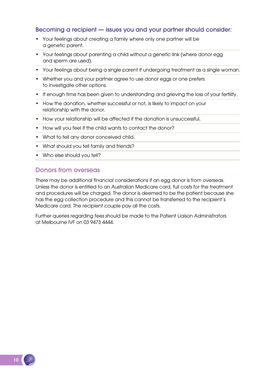#### Becoming a recipient — issues you and your partner should consider:

- Your feelings about creating a family where only one partner will be a genetic parent.
- Your feelings about parenting a child without a genetic link (where donor egg and sperm are used).
- Your feelings about being a single parent if undergoing treatment as a single woman.
- Whether you and your partner agree to use donor eggs or one prefers to investigate other options.
- If enough time has been given to understanding and grieving the loss of your fertility.
- How the donation, whether successful or not, is likely to impact on your relationship with the donor.
- How your relationship will be affected if the donation is unsuccessful.
- How will you feel if the child wants to contact the donor?
- What to tell any donor conceived child.
- What should you tell family and friends?
- Who else should you tell?

#### Donors from overseas

There may be additional financial considerations if an egg donor is from overseas. Unless the donor is entitled to an Australian Medicare card, full costs for the treatment and procedures will be charged. The donor is deemed to be the patient because she has the egg collection procedure and this cannot be transferred to the recipient's Medicare card. The recipient couple pay all the costs.

Further queries regarding fees should be made to the Patient Liaison Administrators at Melbourne IVF on 03 9473 4444.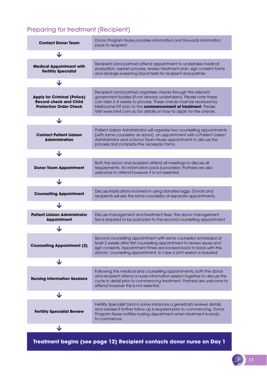## Preparing for treatment (Recipient)

| <b>Contact Donor Team</b>                                                                            | Donor Program Nurse provides information and forwards information<br>pack to recipient.                                                                                                                                                                                                                                                   |  |
|------------------------------------------------------------------------------------------------------|-------------------------------------------------------------------------------------------------------------------------------------------------------------------------------------------------------------------------------------------------------------------------------------------------------------------------------------------|--|
| ◡                                                                                                    |                                                                                                                                                                                                                                                                                                                                           |  |
| <b>Medical Appointment with</b><br><b>Fertility Specialist</b>                                       | Recipient (and partner) attend appointment to undertake medical<br>evaluation, explain process, review treatment plan, sign consent forms<br>and arrange screening blood tests for recipient and partner.                                                                                                                                 |  |
| ◡                                                                                                    |                                                                                                                                                                                                                                                                                                                                           |  |
| <b>Apply for Criminal (Police)</b><br><b>Record check and Child</b><br><b>Protection Order Check</b> | Recipient (and partner) organises checks through the relevant<br>government bodies (if not already undertaken). Please note these<br>can take 2-4 weeks to process. These checks must be received by<br>Melbourne IVF prior to the commencement of treatment. Please<br>Visit www.mivf.com.au for details on how to apply for the checks. |  |
| J                                                                                                    |                                                                                                                                                                                                                                                                                                                                           |  |
| <b>Contact Patient Liaison</b><br><b>Administration</b>                                              | Patient Liaison Administrator will organise two counselling appointments<br>(with same counsellor as donor), an appointment with a Patient Liaison<br>Administrator and a Donor Team Nurse appointment to discuss the<br>process and complete the necessary forms.                                                                        |  |
| ◡                                                                                                    |                                                                                                                                                                                                                                                                                                                                           |  |
| <b>Donor Team Appointment</b>                                                                        | Both the donor and recipient attend all meetings to discuss all<br>requirements. An information pack is provided. Partners are also<br>welcome to attend however it is not essential.                                                                                                                                                     |  |
| ◡                                                                                                    |                                                                                                                                                                                                                                                                                                                                           |  |
| <b>Counselling Appointment</b>                                                                       | Discuss implications involved in using donated eggs. Donors and<br>recipients will see the same counsellor at separate appointments.                                                                                                                                                                                                      |  |
| J                                                                                                    |                                                                                                                                                                                                                                                                                                                                           |  |
| <b>Patient Liaison Administrator</b><br><b>Appointment</b>                                           | Discuss management and treatment fees. The donor management<br>fee is required to be paid prior to the second counselling appointment.                                                                                                                                                                                                    |  |
| J                                                                                                    |                                                                                                                                                                                                                                                                                                                                           |  |
| <b>Counselling Appointment (2)</b>                                                                   | Second counselling appointment with same counsellor scheduled at<br>least 2 weeks after first counselling appointment to review issues and<br>sign consents. Appointment times are booked back to back with the<br>donors' counselling appointment, in case a joint session is required.                                                  |  |
| J                                                                                                    |                                                                                                                                                                                                                                                                                                                                           |  |
| <b>Nursing Information Sessions</b>                                                                  | Following the medical and counselling appointments, both the donor<br>and recipient attend a nurse information session together to discuss the<br>cycle in detail prior to commencing treatment. Partners are welcome to<br>attend however this is not essential.                                                                         |  |
| ◡                                                                                                    |                                                                                                                                                                                                                                                                                                                                           |  |
| <b>Fertility Specialist Review</b>                                                                   | Fertility Specialist (and in some instances a geneticist) reviews details<br>and advises if further follow up is required prior to commencing. Donor<br>Program Nurse notifies nursing department when treatment is ready<br>to commence.                                                                                                 |  |
| ◡                                                                                                    |                                                                                                                                                                                                                                                                                                                                           |  |

**Treatment begins (see page 12) Recipient contacts donor nurse on Day 1**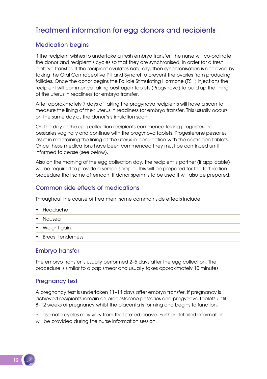## Treatment information for egg donors and recipients

#### Medication begins

If the recipient wishes to undertake a fresh embryo transfer, the nurse will co-ordinate the donor and recipient's cycles so that they are synchronised, in order for a fresh embryo transfer. If the recipient ovulates naturally, then synchronisation is achieved by taking the Oral Contraceptive Pill and Synarel to prevent the ovaries from producing follicles. Once the donor begins the Follicle Stimulating Hormone (FSH) injections the recipient will commence taking oestrogen tablets (Progynova) to build up the lining of the uterus in readiness for embryo transfer.

After approximately 7 days of taking the progynova recipients will have a scan to measure the lining of their uterus in readiness for embryo transfer. This usually occurs on the same day as the donor's stimulation scan.

On the day of the egg collection recipients commence taking progesterone pessaries vaginally and continue with the progynova tablets. Progesterone pessaries assist in maintaining the lining of the uterus in conjunction with the oestrogen tablets. Once these medications have been commenced they must be continued until informed to cease (see below).

Also on the morning of the egg collection day, the recipient's partner (if applicable) will be required to provide a semen sample. This will be prepared for the fertilisation procedure that same afternoon. If donor sperm is to be used it will also be prepared.

#### Common side effects of medications

Throughout the course of treatment some common side effects include:

- Headache
- Nausea
- Weight gain
- Breast tenderness

#### Embryo transfer

The embryo transfer is usually performed 2–5 days after the egg collection. The procedure is similar to a pap smear and usually takes approximately 10 minutes.

#### Pregnancy test

A pregnancy test is undertaken 11–14 days after embryo transfer. If pregnancy is achieved recipients remain on progesterone pessaries and progynova tablets until 8–12 weeks of pregnancy whilst the placenta is forming and begins to function.

Please note cycles may vary from that stated above. Further detailed information will be provided during the nurse information session.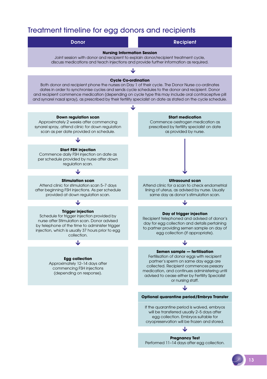## Treatment timeline for egg donors and recipients



13

Performed 11–14 days after egg collection.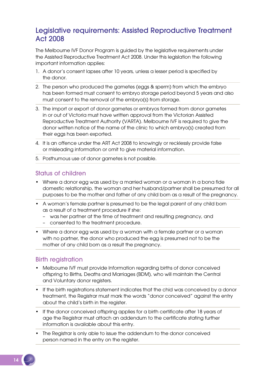## Legislative requirements: Assisted Reproductive Treatment Act 2008

The Melbourne IVF Donor Program is guided by the legislative requirements under the Assisted Reproductive Treatment Act 2008. Under this legislation the following important information applies:

- 1. A donor's consent lapses after 10 years, unless a lesser period is specified by the donor.
- 2. The person who produced the gametes (eggs & sperm) from which the embryo has been formed must consent to embryo storage period beyond 5 years and also must consent to the removal of the embryo(s) from storage.
- 3. The import or export of donor gametes or embryos formed from donor gametes in or out of Victoria must have written approval from the Victorian Assisted Reproductive Treatment Authority (VARTA). Melbourne IVF is required to give the donor written notice of the name of the clinic to which embryo(s) created from their eggs has been exported.
- 4. It is an offence under the ART Act 2008 to knowingly or recklessly provide false or misleading information or omit to give material information.
- 5. Posthumous use of donor gametes is not possible.

#### Status of children

- Where a donor egg was used by a married woman or a woman in a bona fide domestic relationship, the woman and her husband/partner shall be presumed for all purposes to be the mother and father of any child born as a result of the pregnancy.
- A woman's female partner is presumed to be the legal parent of any child born as a result of a treatment procedure if she:
	- was her partner at the time of treatment and resulting pregnancy, and
	- consented to the treatment procedure.
- Where a donor egg was used by a woman with a female partner or a woman with no partner, the donor who produced the egg is presumed not to be the mother of any child born as a result the pregnancy.

#### Birth registration

- Melbourne IVF must provide Information regarding births of donor conceived offspring to Births, Deaths and Marriages (BDM), who will maintain the Central and Voluntary donor registers.
- If the birth registrations statement indicates that the chid was conceived by a donor treatment, the Registrar must mark the words "donor conceived" against the entry about the child's birth in the register.
- If the donor conceived offspring applies for a birth certificate after 18 years of age the Registrar must attach an addendum to the certificate stating further information is available about this entry.
- The Registrar is only able to issue the addendum to the donor conceived person named in the entry on the register.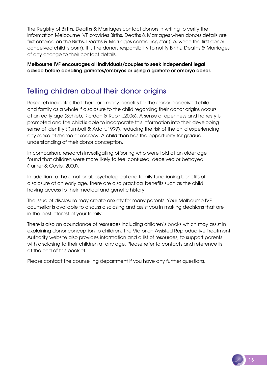The Registry of Births, Deaths & Marriages contact donors in writing to verify the information Melbourne IVF provides Births, Deaths & Marriages when donors details are first entered on the Births, Deaths & Marriages central register (i.e. when the first donor conceived child is born). It is the donors responsibility to notify Births, Deaths & Marriages of any change to their contact details.

Melbourne IVF encourages all individuals/couples to seek independent legal advice before donating gametes/embryos or using a gamete or embryo donor.

## Telling children about their donor origins

Research indicates that there are many benefits for the donor conceived child and family as a whole if disclosure to the child regarding their donor origins occurs at an early age (Schieb, Riordan & Rubin.,2005). A sense of openness and honesty is promoted and the child is able to incorporate this information into their developing sense of identity (Rumball & Adair.,1999), reducing the risk of the child experiencing any sense of shame or secrecy. A child then has the opportunity for gradual understanding of their donor conception.

In comparison, research investigating offspring who were told at an older age found that children were more likely to feel confused, deceived or betrayed (Turner & Coyle, 2000).

In addition to the emotional, psychological and family functioning benefits of disclosure at an early age, there are also practical benefits such as the child having access to their medical and genetic history.

The issue of disclosure may create anxiety for many parents. Your Melbourne IVF counsellor is available to discuss disclosing and assist you in making decisions that are in the best interest of your family.

There is also an abundance of resources including children's books which may assist in explaining donor conception to children. The Victorian Assisted Reproductive Treatment Authority website also provides information and a list of resources, to support parents with disclosing to their children at any age. Please refer to contacts and reference list at the end of this booklet.

Please contact the counselling department if you have any further questions.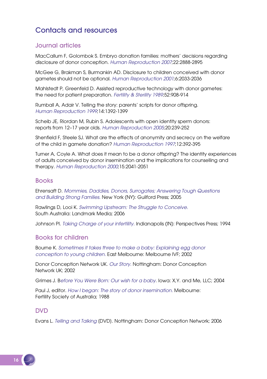## Contacts and resources

## Journal articles

MacCallum F, Golombok S. Embryo donation families: mothers' decisions regarding disclosure of donor conception. *Human Reproduction 2007*;22:2888-2895

McGee G, Brakman S, Burmankin AD. Disclosure to children conceived with donor gametes should not be optional. *Human Reproduction 2001*;6:2033-2036

Mahlstedt P, Greenfeld D. Assisted reproductive technology with donor gametes: the need for patient preparation. *Fertility & Sterility 1989*;52:908-914

Rumball A, Adair V. Telling the story: parents' scripts for donor offspring. *Human Reproduction 1999*;14:1392-1399

Scheib JE, Riordan M, Rubin S. Adolescents with open identity sperm donors: reports from 12–17 year olds. *Human Reproduction 2005*;20:239-252

Shenfield F, Steele SJ. What are the effects of anonymity and secrecy on the welfare of the child in gamete donation? *Human Reproduction 1997*;12:392-395

Turner A, Coyle A. What does it mean to be a donor offspring? The identity experiences of adults conceived by donor insemination and the implications for counselling and therapy. *Human Reproduction 2000*;15:2041-2051

#### Books

Ehrensaft D. *Mommies, Daddies, Donors, Surrogates; Answering Tough Questions and Building Strong Families.* New York (NY): Guilford Press; 2005

Rawlings D, Looi K. *Swimming Upstream: The Struggle to Conceive.*  South Australia: Landmark Media; 2006

Johnson PI. *Taking Charge of your infertility.* Indianapolis (IN): Perspectives Press; 1994

## Books for children

Bourne K. *Sometimes it takes three to make a baby: Explaining egg donor conception to young children.* East Melbourne: Melbourne IVF; 2002

Donor Conception Network UK. *Our Story.* Nottingham: Donor Conception Network UK; 2002

Grimes J. B*efore You Were Born: Our wish for a baby*. Iowa: X,Y. and Me, LLC; 2004

Paul J, editor. *How I began: The story of donor insemination.* Melbourne: Fertility Society of Australia; 1988

#### DVD

Evans L. *Telling and Talking* [DVD]. Nottingham: Donor Conception Network; 2006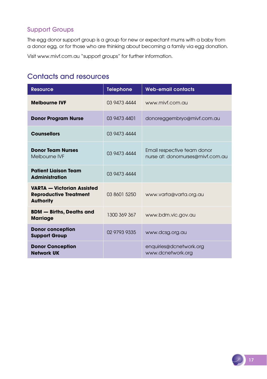## Support Groups

The egg donor support group is a group for new or expectant mums with a baby from a donor egg, or for those who are thinking about becoming a family via egg donation.

Visit www.mivf.com.au "support groups" for further information.

## Contacts and resources

| <b>Resource</b>                                                                        | <b>Telephone</b> | <b>Web-email contacts</b>                                        |
|----------------------------------------------------------------------------------------|------------------|------------------------------------------------------------------|
| <b>Melbourne IVF</b>                                                                   | 03 9473 4444     | www.mivf.com.au                                                  |
| <b>Donor Program Nurse</b>                                                             | 03 9473 4401     | donoreggembryo@mivf.com.au                                       |
| <b>Counsellors</b>                                                                     | 03 9473 4444     |                                                                  |
| <b>Donor Team Nurses</b><br>Melbourne IVF                                              | 03 9473 4444     | Email respective team donor<br>nurse at: donornurses@mivf.com.au |
| <b>Patient Ligison Team</b><br><b>Administration</b>                                   | 03 9473 4444     |                                                                  |
| <b>VARTA - Victorian Assisted</b><br><b>Reproductive Treatment</b><br><b>Authority</b> | 03 8601 5250     | www.varta@varta.org.au                                           |
| <b>BDM</b> - Births, Deaths and<br><b>Marriage</b>                                     | 1300 369 367     | www.bdm.vic.gov.au                                               |
| <b>Donor conception</b><br><b>Support Group</b>                                        | 02 9793 9335     | www.dcsg.org.au                                                  |
| <b>Donor Conception</b><br><b>Network UK</b>                                           |                  | enquiries@dcnetwork.org<br>www.dcnetwork.org                     |